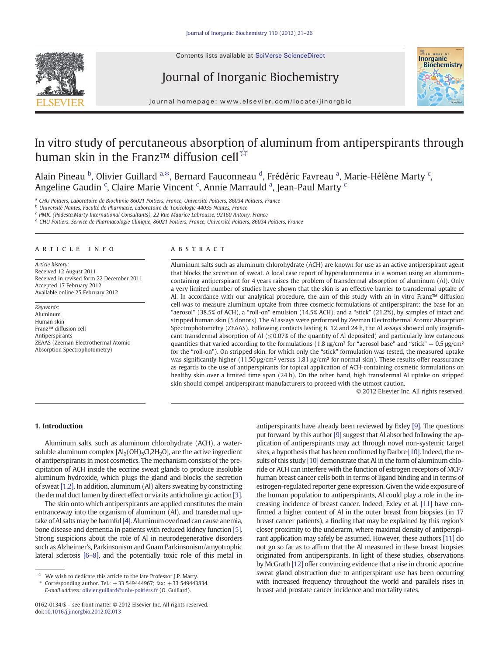Contents lists available at SciVerse ScienceDirect







journal homepage: www.elsevier.com/locate/jinorgbio

# In vitro study of percutaneous absorption of aluminum from antiperspirants through human skin in the Franz™ diffusion cell☆

Alain Pineau <sup>b</sup>, Olivier Guillard <sup>a,\*</sup>, Bernard Fauconneau <sup>d</sup>, Frédéric Favreau <sup>a</sup>, Marie-Hélène Marty <sup>c</sup>, Angeline Gaudin<sup>c</sup>, Claire Marie Vincent<sup>c</sup>, Annie Marrauld<sup>a</sup>, Jean-Paul Marty<sup>c</sup>

<sup>a</sup> CHU Poitiers, Laboratoire de Biochimie 86021 Poitiers, France, Université Poitiers, 86034 Poitiers, France

<sup>b</sup> Université Nantes, Faculté de Pharmacie, Laboratoire de Toxicologie 44035 Nantes, France

<sup>c</sup> PMIC (Podesta.Marty International Consultants), 22 Rue Maurice Labrousse, 92160 Antony, France

<sup>d</sup> CHU Poitiers, Service de Pharmacologie Clinique, 86021 Poitiers, France, Université Poitiers, 86034 Poitiers, France

# article info abstract

Article history: Received 12 August 2011 Received in revised form 22 December 2011 Accepted 17 February 2012 Available online 25 February 2012

Keywords: Aluminum Human skin Franz™ diffusion cell Antiperspirants ZEAAS (Zeeman Electrothermal Atomic Absorption Spectrophotometry)

Aluminum salts such as aluminum chlorohydrate (ACH) are known for use as an active antiperspirant agent that blocks the secretion of sweat. A local case report of hyperaluminemia in a woman using an aluminumcontaining antiperspirant for 4 years raises the problem of transdermal absorption of aluminum (Al). Only a very limited number of studies have shown that the skin is an effective barrier to transdermal uptake of Al. In accordance with our analytical procedure, the aim of this study with an in vitro Franz™ diffusion cell was to measure aluminum uptake from three cosmetic formulations of antiperspirant: the base for an "aerosol" (38.5% of ACH), a "roll-on" emulsion (14.5% ACH), and a "stick" (21.2%), by samples of intact and stripped human skin (5 donors). The Al assays were performed by Zeeman Electrothermal Atomic Absorption Spectrophotometry (ZEAAS). Following contacts lasting 6, 12 and 24 h, the Al assays showed only insignificant transdermal absorption of Al  $(\leq 0.07\%$  of the quantity of Al deposited) and particularly low cutaneous quantities that varied according to the formulations (1.8 μg/cm<sup>2</sup> for "aerosol base" and "stick" – 0.5 μg/cm<sup>2</sup> for the "roll-on"). On stripped skin, for which only the "stick" formulation was tested, the measured uptake was significantly higher (11.50 μg/cm<sup>2</sup> versus 1.81 μg/cm<sup>2</sup> for normal skin). These results offer reassurance as regards to the use of antiperspirants for topical application of ACH-containing cosmetic formulations on healthy skin over a limited time span (24 h). On the other hand, high transdermal Al uptake on stripped skin should compel antiperspirant manufacturers to proceed with the utmost caution.

© 2012 Elsevier Inc. All rights reserved.

# 1. Introduction

Aluminum salts, such as aluminum chlorohydrate (ACH), a watersoluble aluminum complex  $[A_2(OH)_5Cl,2H_2O]$ , are the active ingredient of antiperspirants in most cosmetics. The mechanism consists of the precipitation of ACH inside the eccrine sweat glands to produce insoluble aluminum hydroxide, which plugs the gland and blocks the secretion of sweat [\[1,2\]](#page-5-0). In addition, aluminum (Al) alters sweating by constricting the dermal duct lumen by direct effect or via its anticholinergic action [\[3\].](#page-5-0)

The skin onto which antiperspirants are applied constitutes the main entranceway into the organism of aluminum (Al), and transdermal up-take of Al salts may be harmful [\[4\]](#page-5-0). Aluminum overload can cause anemia, bone disease and dementia in patients with reduced kidney function [\[5\].](#page-5-0) Strong suspicions about the role of Al in neurodegenerative disorders such as Alzheimer's, Parkinsonism and Guam Parkinsonism/amyotrophic lateral sclerosis [\[6](#page-5-0)–8], and the potentially toxic role of this metal in

 $\overrightarrow{a}$  We wish to dedicate this article to the late Professor J.P. Marty.

⁎ Corresponding author. Tel.: +33 549444967; fax: +33 549443834.

E-mail address: [olivier.guillard@univ-poitiers.fr](mailto:olivier.guillard@univ-poitiers.fr) (O. Guillard).

antiperspirants have already been reviewed by Exley [\[9\].](#page-5-0) The questions put forward by this author [\[9\]](#page-5-0) suggest that Al absorbed following the application of antiperspirants may act through novel non-systemic target sites, a hypothesis that has been confirmed by Darbre [\[10\]](#page-5-0). Indeed, the re-sults of this study [\[10\]](#page-5-0) demonstrate that Al in the form of aluminum chloride or ACH can interfere with the function of estrogen receptors of MCF7 human breast cancer cells both in terms of ligand binding and in terms of estrogen-regulated reporter gene expression. Given the wide exposure of the human population to antiperspirants, Al could play a role in the increasing incidence of breast cancer. Indeed, Exley et al. [\[11\]](#page-5-0) have confirmed a higher content of Al in the outer breast from biopsies (in 17 breast cancer patients), a finding that may be explained by this region's closer proximity to the underarm, where maximal density of antiperspirant application may safely be assumed. However, these authors [\[11\]](#page-5-0) do not go so far as to affirm that the Al measured in these breast biopsies originated from antiperspirants. In light of these studies, observations by McGrath [\[12\]](#page-5-0) offer convincing evidence that a rise in chronic apocrine sweat gland obstruction due to antiperspirant use has been occurring with increased frequency throughout the world and parallels rises in breast and prostate cancer incidence and mortality rates.

<sup>0162-0134/\$</sup> – see front matter © 2012 Elsevier Inc. All rights reserved. doi:[10.1016/j.jinorgbio.2012.02.013](http://dx.doi.org/10.1016/j.jinorgbio.2012.02.013)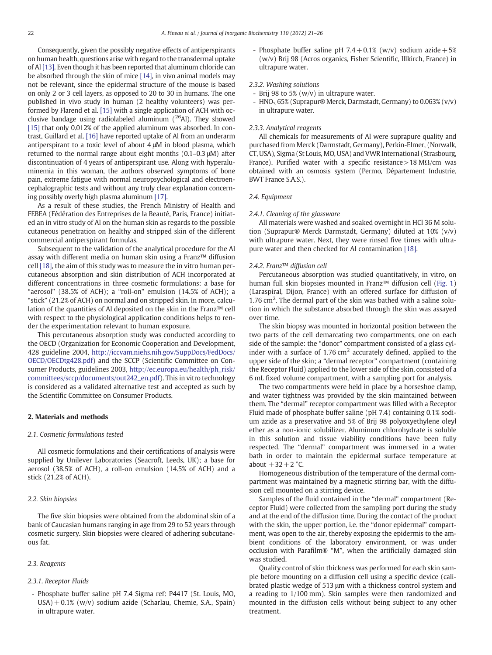Consequently, given the possibly negative effects of antiperspirants on human health, questions arise with regard to the transdermal uptake of Al [\[13\].](#page-5-0) Even though it has been reported that aluminum chloride can be absorbed through the skin of mice [\[14\],](#page-5-0) in vivo animal models may not be relevant, since the epidermal structure of the mouse is based on only 2 or 3 cell layers, as opposed to 20 to 30 in humans. The one published in vivo study in human (2 healthy volunteers) was performed by Flarend et al. [\[15\]](#page-5-0) with a single application of ACH with occlusive bandage using radiolabeled aluminum  $(^{26}$ Al). They showed [\[15\]](#page-5-0) that only 0.012% of the applied aluminum was absorbed. In contrast, Guillard et al. [\[16\]](#page-5-0) have reported uptake of Al from an underarm antiperspirant to a toxic level of about 4 μM in blood plasma, which returned to the normal range about eight months (0.1–0.3 μM) after discontinuation of 4 years of antiperspirant use. Along with hyperaluminemia in this woman, the authors observed symptoms of bone pain, extreme fatigue with normal neuropsychological and electroencephalographic tests and without any truly clear explanation concerning possibly overly high plasma aluminum [\[17\]](#page-5-0).

As a result of these studies, the French Ministry of Health and FEBEA (Fédération des Entreprises de la Beauté, Paris, France) initiated an in vitro study of Al on the human skin as regards to the possible cutaneous penetration on healthy and stripped skin of the different commercial antiperspirant formulas.

Subsequent to the validation of the analytical procedure for the Al assay with different media on human skin using a Franz™ diffusion cell [\[18\],](#page-5-0) the aim of this study was to measure the in vitro human percutaneous absorption and skin distribution of ACH incorporated at different concentrations in three cosmetic formulations: a base for "aerosol" (38.5% of ACH); a "roll-on" emulsion (14.5% of ACH); a "stick" (21.2% of ACH) on normal and on stripped skin. In more, calculation of the quantities of Al deposited on the skin in the Franz™ cell with respect to the physiological application conditions helps to render the experimentation relevant to human exposure.

This percutaneous absorption study was conducted according to the OECD (Organization for Economic Cooperation and Development, 428 guideline 2004, [http://iccvam.niehs.nih.gov/SuppDocs/FedDocs/](http://iccvam.niehs.nih.gov/SuppDocs/FedDocs/OECD/OECDtg428.pdf) [OECD/OECDtg428.pdf](http://iccvam.niehs.nih.gov/SuppDocs/FedDocs/OECD/OECDtg428.pdf)) and the SCCP (Scientific Committee on Consumer Products, guidelines 2003, [http://ec.europa.eu/health/ph\\_risk/](http://ec.europa.eu/health/ph_risk/committees/sccp/documents/out242_en.pdf) [committees/sccp/documents/out242\\_en.pdf](http://ec.europa.eu/health/ph_risk/committees/sccp/documents/out242_en.pdf)). This in vitro technology is considered as a validated alternative test and accepted as such by the Scientific Committee on Consumer Products.

# 2. Materials and methods

#### 2.1. Cosmetic formulations tested

All cosmetic formulations and their certifications of analysis were supplied by Unilever Laboratories (Seacroft, Leeds, UK); a base for aerosol (38.5% of ACH), a roll-on emulsion (14.5% of ACH) and a stick (21.2% of ACH).

#### 2.2. Skin biopsies

The five skin biopsies were obtained from the abdominal skin of a bank of Caucasian humans ranging in age from 29 to 52 years through cosmetic surgery. Skin biopsies were cleared of adhering subcutaneous fat.

# 2.3. Reagents

# 2.3.1. Receptor Fluids

- Phosphate buffer saline pH 7.4 Sigma ref: P4417 (St. Louis, MO, USA)+ 0.1% (w/v) sodium azide (Scharlau, Chemie, S.A., Spain) in ultrapure water.

- Phosphate buffer saline pH  $7.4 + 0.1%$  (w/v) sodium azide  $+ 5%$ (w/v) Brij 98 (Acros organics, Fisher Scientific, Illkirch, France) in ultrapure water.

# 2.3.2. Washing solutions

- Brij 98 to 5% (w/v) in ultrapure water.
- HNO<sub>3</sub> 65% (Suprapur® Merck, Darmstadt, Germany) to 0.063% (v/v) in ultrapure water.

# 2.3.3. Analytical reagents

All chemicals for measurements of Al were suprapure quality and purchased from Merck (Darmstadt, Germany), Perkin-Elmer, (Norwalk, CT, USA), Sigma (St Louis, MO, USA) and VWR International (Strasbourg, France). Purified water with a specific resistance > 18 M $\Omega$ /cm was obtained with an osmosis system (Permo, Département Industrie, BWT France S.A.S.).

# 2.4. Equipment

#### 2.4.1. Cleaning of the glassware

All materials were washed and soaked overnight in HCl 36 M solution (Suprapur® Merck Darmstadt, Germany) diluted at 10% (v/v) with ultrapure water. Next, they were rinsed five times with ultrapure water and then checked for Al contamination [\[18\]](#page-5-0).

#### 2.4.2. Franz™ diffusion cell

Percutaneous absorption was studied quantitatively, in vitro, on human full skin biopsies mounted in Franz™ diffusion cell ([Fig. 1](#page-2-0)) (Laraspiral, Dijon, France) with an offered surface for diffusion of 1.76 cm<sup>2</sup>. The dermal part of the skin was bathed with a saline solution in which the substance absorbed through the skin was assayed over time.

The skin biopsy was mounted in horizontal position between the two parts of the cell demarcating two compartments, one on each side of the sample: the "donor" compartment consisted of a glass cylinder with a surface of  $1.76 \text{ cm}^2$  accurately defined, applied to the upper side of the skin; a "dermal receptor" compartment (containing the Receptor Fluid) applied to the lower side of the skin, consisted of a 6 mL fixed volume compartment, with a sampling port for analysis.

The two compartments were held in place by a horseshoe clamp, and water tightness was provided by the skin maintained between them. The "dermal" receptor compartment was filled with a Receptor Fluid made of phosphate buffer saline (pH 7.4) containing 0.1% sodium azide as a preservative and 5% of Brij 98 polyoxyethylene oleyl ether as a non-ionic solubilizer. Aluminum chlorohydrate is soluble in this solution and tissue viability conditions have been fully respected. The "dermal" compartment was immersed in a water bath in order to maintain the epidermal surface temperature at about  $+32 \pm 2$  °C.

Homogeneous distribution of the temperature of the dermal compartment was maintained by a magnetic stirring bar, with the diffusion cell mounted on a stirring device.

Samples of the fluid contained in the "dermal" compartment (Receptor Fluid) were collected from the sampling port during the study and at the end of the diffusion time. During the contact of the product with the skin, the upper portion, i.e. the "donor epidermal" compartment, was open to the air, thereby exposing the epidermis to the ambient conditions of the laboratory environment, or was under occlusion with Parafilm® "M", when the artificially damaged skin was studied.

Quality control of skin thickness was performed for each skin sample before mounting on a diffusion cell using a specific device (calibrated plastic wedge of 513 μm with a thickness control system and a reading to 1/100 mm). Skin samples were then randomized and mounted in the diffusion cells without being subject to any other treatment.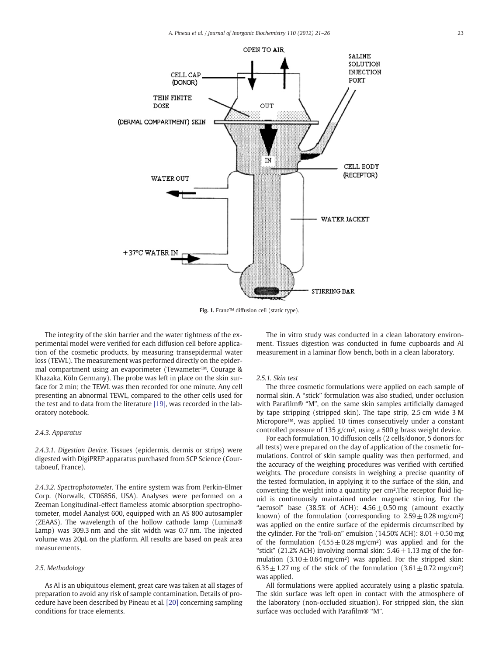<span id="page-2-0"></span>

Fig. 1. Franz™ diffusion cell (static type).

The integrity of the skin barrier and the water tightness of the experimental model were verified for each diffusion cell before application of the cosmetic products, by measuring transepidermal water loss (TEWL). The measurement was performed directly on the epidermal compartment using an evaporimeter (Tewameter™, Courage & Khazaka, Köln Germany). The probe was left in place on the skin surface for 2 min; the TEWL was then recorded for one minute. Any cell presenting an abnormal TEWL, compared to the other cells used for the test and to data from the literature [\[19\],](#page-5-0) was recorded in the laboratory notebook.

# 2.4.3. Apparatus

2.4.3.1. Digestion Device. Tissues (epidermis, dermis or strips) were digested with DigiPREP apparatus purchased from SCP Science (Courtaboeuf, France).

2.4.3.2. Spectrophotometer. The entire system was from Perkin-Elmer Corp. (Norwalk, CT06856, USA). Analyses were performed on a Zeeman Longitudinal-effect flameless atomic absorption spectrophotometer, model Aanalyst 600, equipped with an AS 800 autosampler (ZEAAS). The wavelength of the hollow cathode lamp (Lumina® Lamp) was 309.3 nm and the slit width was 0.7 nm. The injected volume was 20μL on the platform. All results are based on peak area measurements.

# 2.5. Methodology

As Al is an ubiquitous element, great care was taken at all stages of preparation to avoid any risk of sample contamination. Details of procedure have been described by Pineau et al. [\[20\]](#page-5-0) concerning sampling conditions for trace elements.

The in vitro study was conducted in a clean laboratory environment. Tissues digestion was conducted in fume cupboards and Al measurement in a laminar flow bench, both in a clean laboratory.

#### 2.5.1. Skin test

The three cosmetic formulations were applied on each sample of normal skin. A "stick" formulation was also studied, under occlusion with Parafilm® "M", on the same skin samples artificially damaged by tape stripping (stripped skin). The tape strip, 2.5 cm wide 3 M Micropore™, was applied 10 times consecutively under a constant controlled pressure of 135 g/cm², using a 500 g brass weight device.

For each formulation, 10 diffusion cells (2 cells/donor, 5 donors for all tests) were prepared on the day of application of the cosmetic formulations. Control of skin sample quality was then performed, and the accuracy of the weighing procedures was verified with certified weights. The procedure consists in weighing a precise quantity of the tested formulation, in applying it to the surface of the skin, and converting the weight into a quantity per cm².The receptor fluid liquid is continuously maintained under magnetic stirring. For the "aerosol" base (38.5% of ACH):  $4.56 \pm 0.50$  mg (amount exactly known) of the formulation (corresponding to  $2.59 \pm 0.28$  mg/cm<sup>2</sup>) was applied on the entire surface of the epidermis circumscribed by the cylinder. For the "roll-on" emulsion (14.50% ACH):  $8.01 \pm 0.50$  mg of the formulation  $(4.55 \pm 0.28 \text{ mg/cm}^2)$  was applied and for the "stick" (21.2% ACH) involving normal skin:  $5.46 \pm 1.13$  mg of the formulation  $(3.10 \pm 0.64 \text{ mg/cm}^2)$  was applied. For the stripped skin:  $6.35 \pm 1.27$  mg of the stick of the formulation  $(3.61 \pm 0.72$  mg/cm<sup>2</sup>) was applied.

All formulations were applied accurately using a plastic spatula. The skin surface was left open in contact with the atmosphere of the laboratory (non-occluded situation). For stripped skin, the skin surface was occluded with Parafilm® "M".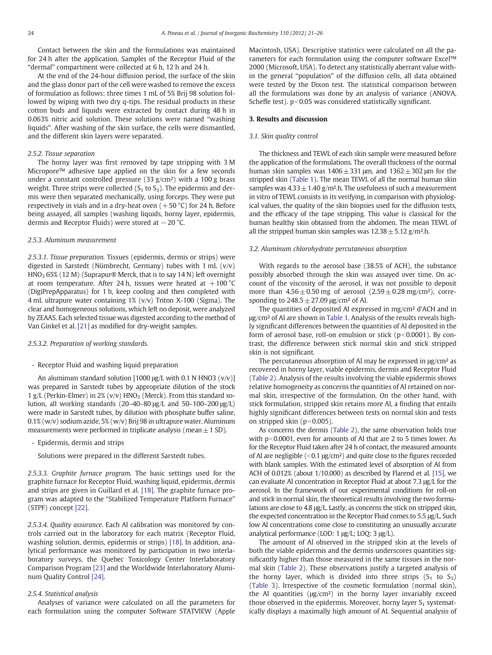Contact between the skin and the formulations was maintained for 24 h after the application. Samples of the Receptor Fluid of the "dermal" compartment were collected at 6 h, 12 h and 24 h.

At the end of the 24-hour diffusion period, the surface of the skin and the glass donor part of the cell were washed to remove the excess of formulation as follows: three times 1 mL of 5% Brij 98 solution followed by wiping with two dry q-tips. The residual products in these cotton buds and liquids were extracted by contact during 48 h in 0.063% nitric acid solution. These solutions were named "washing liquids". After washing of the skin surface, the cells were dismantled, and the different skin layers were separated.

#### 2.5.2. Tissue separation

The horny layer was first removed by tape stripping with 3 M Micropore™ adhesive tape applied on the skin for a few seconds under a constant controlled pressure  $(33 g/cm<sup>2</sup>)$  with a 100 g brass weight. Three strips were collected  $(S_1 \text{ to } S_3)$ . The epidermis and dermis were then separated mechanically, using forceps. They were put respectively in vials and in a dry-heat oven  $(+50 °C)$  for 24 h. Before being assayed, all samples (washing liquids, horny layer, epidermis, dermis and Receptor Fluids) were stored at −20 °C.

# 2.5.3. Aluminum measurement

2.5.3.1. Tissue preparation. Tissues (epidermis, dermis or strips) were digested in Sarstedt (Nümbrecht, Germany) tubes with 1 mL (v/v) HNO<sub>3</sub> 65% (12 M) (Suprapur® Merck, that is to say 14 N) left overnight at room temperature. After 24 h, tissues were heated at  $+100$  °C (DigiPrepApparatus) for 1 h, keep cooling and then completed with 4 mL ultrapure water containing 1% (v/v) Triton X-100 (Sigma). The clear and homogeneous solutions, which left no deposit, were analyzed by ZEAAS. Each selected tissue was digested according to the method of Van Ginkel et al. [\[21\]](#page-5-0) as modified for dry-weight samples.

# 2.5.3.2. Preparation of working standards.

### - Receptor Fluid and washing liquid preparation

An aluminum standard solution  $[1000 \mu g/L$  with 0.1 N HNO3  $(v/v)$ ] was prepared in Sarstedt tubes by appropriate dilution of the stock 1 g/L (Perkin-Elmer) in 2% (v/v)  $HNO<sub>3</sub>$  (Merck). From this standard solution, all working standards (20–40–80 μg/L and 50–100–200 μg/L) were made in Sarstedt tubes, by dilution with phosphate buffer saline, 0.1% (w/v) sodium azide, 5% (w/v) Brij 98 in ultrapure water. Aluminum measurements were performed in triplicate analysis (mean $\pm 1$  SD).

- Epidermis, dermis and strips

Solutions were prepared in the different Sarstedt tubes.

2.5.3.3. Graphite furnace program. The basic settings used for the graphite furnace for Receptor Fluid, washing liquid, epidermis, dermis and strips are given in Guillard et al. [\[18\].](#page-5-0) The graphite furnace program was adapted to the "Stabilized Temperature Platform Furnace" (STPF) concept [\[22\].](#page-5-0)

2.5.3.4. Quality assurance. Each Al calibration was monitored by controls carried out in the laboratory for each matrix (Receptor Fluid, washing solution, dermis, epidermis or strips) [\[18\].](#page-5-0) In addition, analytical performance was monitored by participation in two interlaboratory surveys, the Quebec Toxicology Center Interlaboratory Comparison Program [\[23\]](#page-5-0) and the Worldwide Interlaboratory Aluminum Quality Control [\[24\].](#page-5-0)

#### 2.5.4. Statistical analysis

Analyses of variance were calculated on all the parameters for each formulation using the computer Software STATVIEW (Apple Macintosh, USA). Descriptive statistics were calculated on all the parameters for each formulation using the computer software Excel™ 2000 (Microsoft, USA). To detect any statistically aberrant value within the general "population" of the diffusion cells, all data obtained were tested by the Dixon test. The statistical comparison between all the formulations was done by an analysis of variance (ANOVA, Scheffe test).  $p<0.05$  was considered statistically significant.

### 3. Results and discussion

# 3.1. Skin quality control

The thickness and TEWL of each skin sample were measured before the application of the formulations. The overall thickness of the normal human skin samples was  $1406 \pm 331$  μm, and  $1362 \pm 302$  μm for the stripped skin [\(Table 1\)](#page-4-0). The mean TEWL of all the normal human skin samples was  $4.33 \pm 1.40$  g/m<sup>2</sup>.h. The usefulness of such a measurement in vitro of TEWL consists in its verifying, in comparison with physiological values, the quality of the skin biopsies used for the diffusion tests, and the efficacy of the tape stripping. This value is classical for the human healthy skin obtained from the abdomen. The mean TEWL of all the stripped human skin samples was  $12.38 \pm 5.12$  g/m<sup>2</sup>.h.

### 3.2. Aluminum chlorohydrate percutaneous absorption

With regards to the aerosol base (38.5% of ACH), the substance possibly absorbed through the skin was assayed over time. On account of the viscosity of the aerosol, it was not possible to deposit more than  $4.56 \pm 0.50$  mg of aerosol  $(2.59 \pm 0.28$  mg/cm<sup>2</sup>), corresponding to  $248.5 \pm 27.09$  μg/cm<sup>2</sup> of Al.

The quantities of deposited Al expressed in mg/cm² d'ACH and in μg/cm² of Al are shown in [Table 1.](#page-4-0) Analysis of the results reveals highly significant differences between the quantities of Al deposited in the form of aerosol base, roll-on emulsion or stick ( $p<0.0001$ ). By contrast, the difference between stick normal skin and stick stripped skin is not significant.

The percutaneous absorption of Al may be expressed in μg/cm² as recovered in horny layer, viable epidermis, dermis and Receptor Fluid [\(Table 2](#page-4-0)). Analysis of the results involving the viable epidermis shows relative homogeneity as concerns the quantities of Al retained on normal skin, irrespective of the formulation. On the other hand, with stick formulation, stripped skin retains more Al, a finding that entails highly significant differences between tests on normal skin and tests on stripped skin  $(p<0.005)$ .

As concerns the dermis [\(Table 2](#page-4-0)), the same observation holds true with  $p<0.0001$ , even for amounts of Al that are 2 to 5 times lower. As for the Receptor Fluid taken after 24 h of contact, the measured amounts of Al are negligible ( $<$ 0.1 μg/cm<sup>2</sup>) and quite close to the figures recorded with blank samples. With the estimated level of absorption of Al from ACH of 0.012% (about 1/10.000) as described by Flarend et al. [\[15\],](#page-5-0) we can evaluate Al concentration in Receptor Fluid at about 7.3 μg/L for the aerosol. In the framework of our experimental conditions for roll-on and stick in normal skin, the theoretical results involving the two formulations are close to 4.8 μg/L. Lastly, as concerns the stick on stripped skin, the expected concentration in the Receptor Fluid comes to 5.5 μg/L. Such low Al concentrations come close to constituting an unusually accurate analytical performance (LOD: 1 μg/L; LOQ: 3 μg/L).

The amount of Al observed in the stripped skin at the levels of both the viable epidermis and the dermis underscores quantities significantly higher than those measured in the same tissues in the normal skin ([Table 2\)](#page-4-0). These observations justify a targeted analysis of the horny layer, which is divided into three strips  $(S_1$  to  $S_3)$ [\(Table 3](#page-4-0)). Irrespective of the cosmetic formulation (normal skin), the Al quantities  $(\mu g/cm^2)$  in the horny layer invariably exceed those observed in the epidermis. Moreover, horny layer  $S_1$  systematically displays a maximally high amount of Al. Sequential analysis of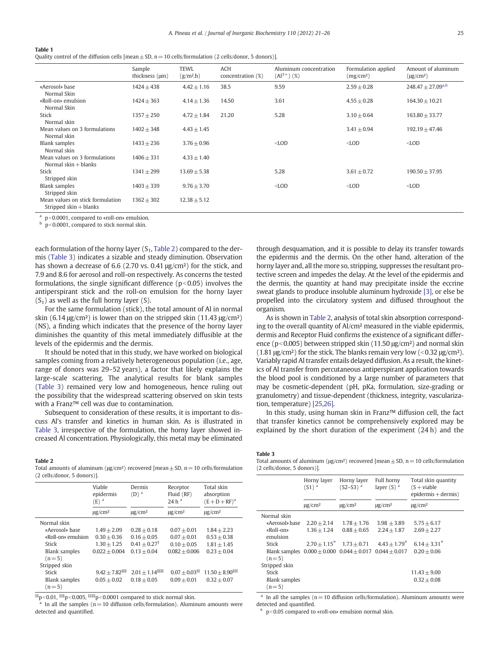#### <span id="page-4-0"></span>Table 1

Quality control of the diffusion cells [mean  $\pm$  SD, n = 10 cells/formulation (2 cells/donor, 5 donors)].

|                                                              | Sample<br>thickness (µm) | <b>TEWL</b><br>(g/m <sup>2</sup> h) | <b>ACH</b><br>concentration (%) | Aluminum concentration<br>$(Al^{3+})$ $(\%)$ | Formulation applied<br>(mg/cm <sup>2</sup> ) | Amount of aluminum<br>$(\mu g/cm^2)$ |
|--------------------------------------------------------------|--------------------------|-------------------------------------|---------------------------------|----------------------------------------------|----------------------------------------------|--------------------------------------|
| «Aerosol» base<br>Normal Skin                                | $1424 \pm 438$           | $4.42 \pm 1.16$                     | 38.5                            | 9.59                                         | $2.59 \pm 0.28$                              | $248.47 \pm 27.09^{a,b}$             |
| «Roll-on» emulsion<br>Normal Skin                            | $1424 + 363$             | $4.14 \pm 1.36$                     | 14.50                           | 3.61                                         | $4.55 \pm 0.28$                              | $164.30 \pm 10.21$                   |
| Stick<br>Normal skin                                         | $1357 + 250$             | $4.72 \pm 1.84$                     | 21.20                           | 5.28                                         | $3.10 \pm 0.64$                              | $163.80 \pm 33.77$                   |
| Mean values on 3 formulations<br>Normal skin                 | $1402 \pm 348$           | $4.43 \pm 1.45$                     |                                 |                                              | $3.41 \pm 0.94$                              | $192.19 \pm 47.46$                   |
| <b>Blank samples</b><br>Normal skin                          | $1433 \pm 236$           | $3.76 \pm 0.96$                     |                                 | $<$ LOD                                      | $<$ LOD                                      | $<$ LOD                              |
| Mean values on 3 formulations<br>Normal $skin + blanks$      | $1406 \pm 331$           | $4.33 \pm 1.40$                     |                                 |                                              |                                              |                                      |
| Stick<br>Stripped skin                                       | $1341 \pm 299$           | $13.69 \pm 5.38$                    |                                 | 5.28                                         | $3.61 \pm 0.72$                              | $190.50 \pm 37.95$                   |
| Blank samples<br>Stripped skin                               | $1403 \pm 339$           | $9.76 \pm 3.70$                     |                                 | $<$ LOD                                      | $<$ LOD                                      | $<$ LOD                              |
| Mean values on stick formulation<br>Stripped $skin + blanks$ | $1362 + 302$             | $12.38 \pm 5.12$                    |                                 |                                              |                                              |                                      |

 $a$  p<0.0001, compared to «roll-on» emulsion.

 $p<0.0001$ , compared to stick normal skin.

each formulation of the horny layer  $(S_1, Table 2)$  compared to the dermis (Table 3) indicates a sizable and steady diminution. Observation has shown a decrease of 6.6 (2.70 vs. 0.41 μg/cm²) for the stick, and 7.9 and 8.6 for aerosol and roll-on respectively. As concerns the tested formulations, the single significant difference  $(p<0.05)$  involves the antiperspirant stick and the roll-on emulsion for the horny layer  $(S_1)$  as well as the full horny layer  $(S)$ .

For the same formulation (stick), the total amount of Al in normal skin (6.14  $\mu$ g/cm<sup>2</sup>) is lower than on the stripped skin (11.43  $\mu$ g/cm<sup>2</sup>) (NS), a finding which indicates that the presence of the horny layer diminishes the quantity of this metal immediately diffusible at the levels of the epidermis and the dermis.

It should be noted that in this study, we have worked on biological samples coming from a relatively heterogeneous population (i.e., age, range of donors was 29–52 years), a factor that likely explains the large-scale scattering. The analytical results for blank samples (Table 3) remained very low and homogeneous, hence ruling out the possibility that the widespread scattering observed on skin tests with a Franz™ cell was due to contamination.

Subsequent to consideration of these results, it is important to discuss Al's transfer and kinetics in human skin. As is illustrated in Table 3, irrespective of the formulation, the horny layer showed increased Al concentration. Physiologically, this metal may be eliminated

#### Table 2

Total amounts of aluminum ( $\mu$ g/cm<sup>2</sup>) recovered [mean  $\pm$  SD, n = 10 cells/formulation (2 cells/donor, 5 donors)].

|                                 | Viable<br>epidermis<br>$(E)$ <sup>a</sup> | Dermis<br>$(D)$ <sup>a</sup> | Receptor<br>Fluid (RF)<br>24h <sup>a</sup> | Total skin<br>absorption<br>$(E+D+RF)^a$ |
|---------------------------------|-------------------------------------------|------------------------------|--------------------------------------------|------------------------------------------|
|                                 | $\mu$ g/cm <sup>2</sup>                   | $\mu$ g/cm <sup>2</sup>      | $\mu$ g/cm <sup>2</sup>                    | $\mu$ g/cm <sup>2</sup>                  |
| Normal skin                     |                                           |                              |                                            |                                          |
| «Aerosol» base                  | $1.49 + 2.09$                             | $0.28 + 0.18$                | $0.07 + 0.01$                              | $1.84 + 2.23$                            |
| «Roll-on» emulsion              | $0.30 + 0.36$                             | $0.16 + 0.05$                | $0.07 + 0.01$                              | $0.53 + 0.38$                            |
| Stick                           | $1.30 + 1.25$                             | $0.41 + 0.27^{\dagger}$      | $0.10 + 0.05$                              | $1.81 + 1.45$                            |
| <b>Blank samples</b>            | $0.022 + 0.004$                           | $0.13 + 0.04$                | $0.082 + 0.006$                            | $0.23 + 0.04$                            |
| $(n=5)$                         |                                           |                              |                                            |                                          |
| Stripped skin                   |                                           |                              |                                            |                                          |
| Stick                           | $9.42 + 7.82^{\dagger\ddagger}$           | $2.01 + 1.14$                | $0.07 + 0.03$ <sup>##</sup>                | $11.50 + 8.90^{\text{up}}$               |
| <b>Blank samples</b><br>$(n=5)$ | $0.05 + 0.02$                             | $0.18 + 0.05$                | $0.09 + 0.01$                              | $0.32 + 0.07$                            |

 $\sharp$ <sup>†‡</sup>p<0.01,  $\sharp$ #‡p<0.005,  $\sharp$ ##p<0.0001 compared to stick normal skin.

In all the samples ( $n= 10$  diffusion cells/formulation). Aluminum amounts were detected and quantified.

through desquamation, and it is possible to delay its transfer towards the epidermis and the dermis. On the other hand, alteration of the horny layer and, all the more so, stripping, suppresses the resultant protective screen and impedes the delay. At the level of the epidermis and the dermis, the quantity at hand may precipitate inside the eccrine sweat glands to produce insoluble aluminum hydroxide [\[3\],](#page-5-0) or else be propelled into the circulatory system and diffused throughout the organism.

As is shown in Table 2, analysis of total skin absorption corresponding to the overall quantity of Al/cm² measured in the viable epidermis, dermis and Receptor Fluid confirms the existence of a significant difference ( $p<0.005$ ) between stripped skin (11.50  $\mu$ g/cm<sup>2</sup>) and normal skin (1.81 μg/cm²) for the stick. The blanks remain very low ( $<$ 0.32 μg/cm²). Variably rapid Al transfer entails delayed diffusion. As a result, the kinetics of Al transfer from percutaneous antiperspirant application towards the blood pool is conditioned by a large number of parameters that may be cosmetic-dependent (pH, pKa, formulation, size-grading or granulometry) and tissue-dependent (thickness, integrity, vascularization, temperature) [\[25,26\].](#page-5-0)

In this study, using human skin in Franz™ diffusion cell, the fact that transfer kinetics cannot be comprehensively explored may be explained by the short duration of the experiment (24 h) and the

#### Table 3

Total amounts of aluminum ( $\mu$ g/cm<sup>2</sup>) recovered [mean  $\pm$  SD, n = 10 cells/formulation (2 cells/donor, 5 donors)].

|                                                                                | Horny layer<br>$(S1)^a$ | Horny layer<br>$(S2-S3)^{a}$ | Full horny<br>layer $(S)$ <sup>a</sup> | Total skin quantity<br>$(S + viable)$<br>$epidermis + dermis)$ |
|--------------------------------------------------------------------------------|-------------------------|------------------------------|----------------------------------------|----------------------------------------------------------------|
|                                                                                | $\mu$ g/cm <sup>2</sup> | $\mu$ g/cm <sup>2</sup>      | $\mu$ g/cm <sup>2</sup>                | $\mu$ g/cm <sup>2</sup>                                        |
| Normal skin                                                                    |                         |                              |                                        |                                                                |
| «Aerosol» base                                                                 | $2.20 + 2.14$           | $1.78 + 1.76$                | $3.98 + 3.89$                          | $5.75 + 6.17$                                                  |
| «Roll-on»<br>emulsion                                                          | $1.36 + 1.24$           | $0.88 + 0.65$                | $2.24 + 1.87$                          | $2.69 + 2.27$                                                  |
| Stick                                                                          | $2.70 + 1.15^*$         | $1.73 + 0.71$                | $4.43 + 1.79$ <sup>*</sup>             | $6.14 + 3.31^*$                                                |
| Blank samples $0.000 \pm 0.000$ $0.044 \pm 0.017$ $0.044 \pm 0.017$<br>$(n=5)$ |                         |                              |                                        | $0.20 + 0.06$                                                  |
| Stripped skin                                                                  |                         |                              |                                        |                                                                |
| Stick                                                                          |                         |                              |                                        | $11.43 + 9.00$                                                 |
| <b>Blank samples</b><br>$(n=5)$                                                |                         |                              |                                        | $0.32 + 0.08$                                                  |

In all the samples ( $n= 10$  diffusion cells/formulation). Aluminum amounts were detected and quantified.

 $p$ <0.05 compared to «roll-on» emulsion normal skin.